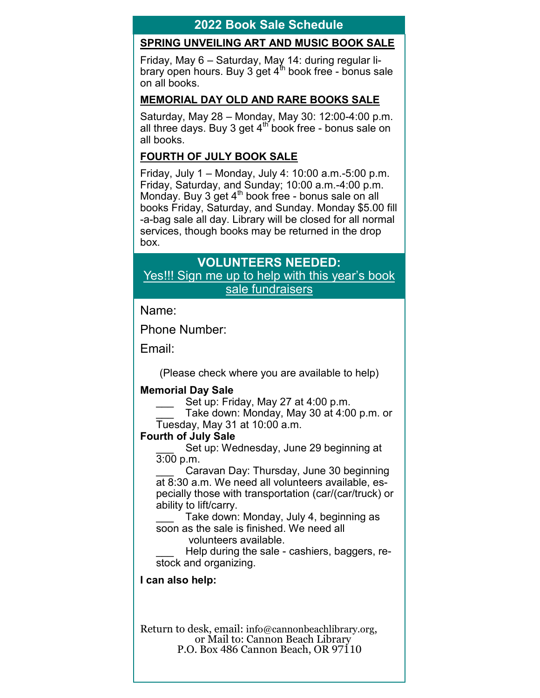## **2022 Book Sale Schedule**

### **SPRING UNVEILING ART AND MUSIC BOOK SALE**

Friday, May 6 – Saturday, May 14: during regular library open hours. Buy 3 get  $4^{\text{th}}$  book free - bonus sale on all books.

#### **MEMORIAL DAY OLD AND RARE BOOKS SALE**

Saturday, May 28 – Monday, May 30: 12:00-4:00 p.m. all three days. Buy 3 get  $4<sup>th</sup>$  book free - bonus sale on all books.

### **FOURTH OF JULY BOOK SALE**

Friday, July 1 – Monday, July 4: 10:00 a.m.-5:00 p.m. Friday, Saturday, and Sunday; 10:00 a.m.-4:00 p.m. Monday. Buy 3 get 4<sup>th</sup> book free - bonus sale on all books Friday, Saturday, and Sunday. Monday \$5.00 fill -a-bag sale all day. Library will be closed for all normal services, though books may be returned in the drop box.

# **VOLUNTEERS NEEDED:**

Yes!!! Sign me up to help with this year's book sale fundraisers

Name:

Phone Number:

Email:

(Please check where you are available to help)

### **Memorial Day Sale**

Set up: Friday, May 27 at 4:00 p.m.

Take down: Monday, May 30 at 4:00 p.m. or Tuesday, May 31 at 10:00 a.m.

### **Fourth of July Sale**

Set up: Wednesday, June 29 beginning at 3:00 p.m.

Caravan Day: Thursday, June 30 beginning at 8:30 a.m. We need all volunteers available, especially those with transportation (car/(car/truck) or ability to lift/carry.

Take down: Monday, July 4, beginning as soon as the sale is finished. We need all

volunteers available.

Help during the sale - cashiers, baggers, restock and organizing.

### **I can also help:**

Return to desk, email: info@cannonbeachlibrary.org, or Mail to: Cannon Beach Library P.O. Box 486 Cannon Beach, OR 97110